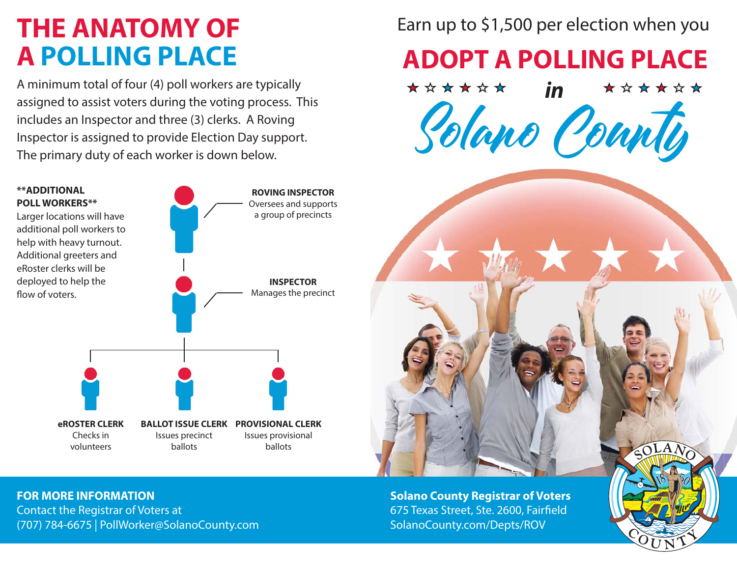#### **THE ANATOMY OF A POLLING PLACE**

A minimum total of four (4) poll workers are typically assigned to assist voters during the voting process. This includes an Inspector and three (3) clerks. A Roving Inspector is assigned to provide Election Day support. The primary duty of each worker is down below.



Earn up to \$1,500 per election when you

**ADOPT A POLLING PLACE**



**FOR MORE INFORMATION**Contact the Registrar of Voters at

(707) 784-6675 | PollWorker@SolanoCounty.com

**Solano County Registrar of Voters** 675 Texas Street, Ste. 2600, Fairfield SolanoCounty.com/Depts/ROV